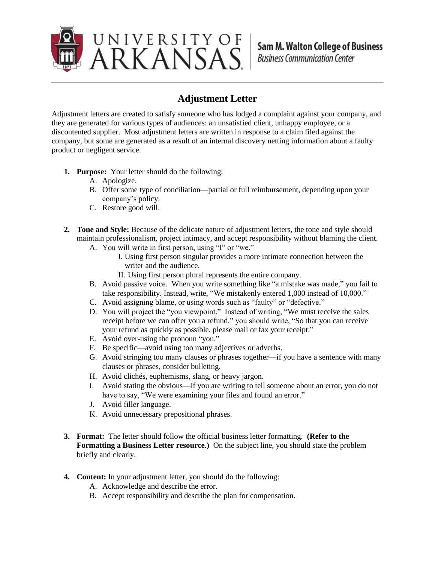

## **Adjustment Letter**

Adjustment letters are created to satisfy someone who has lodged a complaint against your company, and they are generated for various types of audiences: an unsatisfied client, unhappy employee, or a discontented supplier. Most adjustment letters are written in response to a claim filed against the company, but some are generated as a result of an internal discovery netting information about a faulty product or negligent service.

- **1. Purpose:** Your letter should do the following:
	- A. Apologize.
	- B. Offer some type of conciliation—partial or full reimbursement, depending upon your company's policy.
	- C. Restore good will.
- **2. Tone and Style:** Because of the delicate nature of adjustment letters, the tone and style should maintain professionalism, project intimacy, and accept responsibility without blaming the client.
	- A. You will write in first person, using "I" or "we."
		- I. Using first person singular provides a more intimate connection between the writer and the audience.
		- II. Using first person plural represents the entire company.
	- B. Avoid passive voice. When you write something like "a mistake was made," you fail to take responsibility. Instead, write, "We mistakenly entered 1,000 instead of 10,000."
	- C. Avoid assigning blame, or using words such as "faulty" or "defective."
	- D. You will project the "you viewpoint." Instead of writing, "We must receive the sales receipt before we can offer you a refund," you should write, "So that you can receive your refund as quickly as possible, please mail or fax your receipt."
	- E. Avoid over-using the pronoun "you."
	- F. Be specific—avoid using too many adjectives or adverbs.
	- G. Avoid stringing too many clauses or phrases together—if you have a sentence with many clauses or phrases, consider bulleting.
	- H. Avoid clichés, euphemisms, slang, or heavy jargon.
	- I. Avoid stating the obvious—if you are writing to tell someone about an error, you do not have to say, "We were examining your files and found an error."
	- J. Avoid filler language.
	- K. Avoid unnecessary prepositional phrases.
- **3. Format:** The letter should follow the official business letter formatting. **(Refer to the Formatting a Business Letter resource.)** On the subject line, you should state the problem briefly and clearly.
- **4. Content:** In your adjustment letter, you should do the following:
	- A. Acknowledge and describe the error.
	- B. Accept responsibility and describe the plan for compensation.